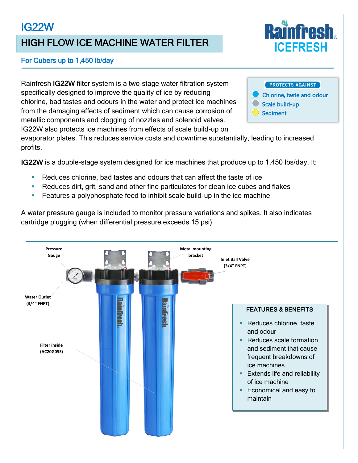# IG22W

## HIGH FLOW ICE MACHINE WATER FILTER

# For Cubers up to 1,450 lb/day

Rainfresh IG22W filter system is a two-stage water filtration system specifically designed to improve the quality of ice by reducing chlorine, bad tastes and odours in the water and protect ice machines from the damaging effects of sediment which can cause corrosion of metallic components and clogging of nozzles and solenoid valves. IG22W also protects ice machines from effects of scale build-up on



evaporator plates. This reduces service costs and downtime substantially, leading to increased profits.

IG22W is a double-stage system designed for ice machines that produce up to 1,450 lbs/day. It:

- Reduces chlorine, bad tastes and odours that can affect the taste of ice
- Reduces dirt, grit, sand and other fine particulates for clean ice cubes and flakes
- Features a polyphosphate feed to inhibit scale build-up in the ice machine

A water pressure gauge is included to monitor pressure variations and spikes. It also indicates cartridge plugging (when differential pressure exceeds 15 psi).



**ICEFRESH**